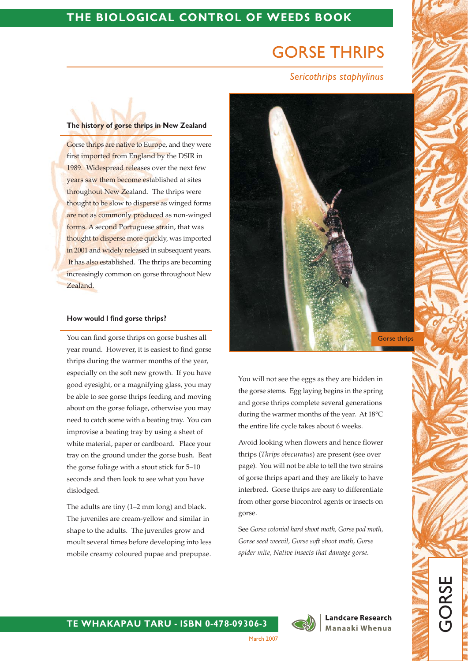# THE BIOLOGICAL CONTROL OF WEEDS BOOK

# **GORSE THRIPS**

# Sericothrips staphylinus

#### The history of gorse thrips in New Zealand

Gorse thrips are native to Europe, and they were first imported from England by the DSIR in 1989. Widespread releases over the next few years saw them become established at sites throughout New Zealand. The thrips were thought to be slow to disperse as winged forms are not as commonly produced as non-winged forms. A second Portuguese strain, that was thought to disperse more quickly, was imported in 2001 and widely released in subsequent years. It has also established. The thrips are becoming increasingly common on gorse throughout New Zealand.

#### How would I find gorse thrips?

You can find gorse thrips on gorse bushes all year round. However, it is easiest to find gorse thrips during the warmer months of the year, especially on the soft new growth. If you have good eyesight, or a magnifying glass, you may be able to see gorse thrips feeding and moving about on the gorse foliage, otherwise you may need to catch some with a beating tray. You can improvise a beating tray by using a sheet of white material, paper or cardboard. Place your tray on the ground under the gorse bush. Beat the gorse foliage with a stout stick for 5-10 seconds and then look to see what you have dislodged.

The adults are tiny (1–2 mm long) and black. The juveniles are cream-yellow and similar in shape to the adults. The juveniles grow and moult several times before developing into less mobile creamy coloured pupae and prepupae.



You will not see the eggs as they are hidden in the gorse stems. Egg laying begins in the spring and gorse thrips complete several generations during the warmer months of the year. At 18°C the entire life cycle takes about 6 weeks.

Avoid looking when flowers and hence flower thrips (Thrips obscuratus) are present (see over page). You will not be able to tell the two strains of gorse thrips apart and they are likely to have interbred. Gorse thrips are easy to differentiate from other gorse biocontrol agents or insects on gorse.

See Gorse colonial hard shoot moth. Gorse pod moth. Gorse seed weevil, Gorse soft shoot moth, Gorse spider mite, Native insects that damage gorse.



**Landcare Research** Manaaki Whenua

# TE WHAKAPAU TARU - ISBN 0-478-09306-3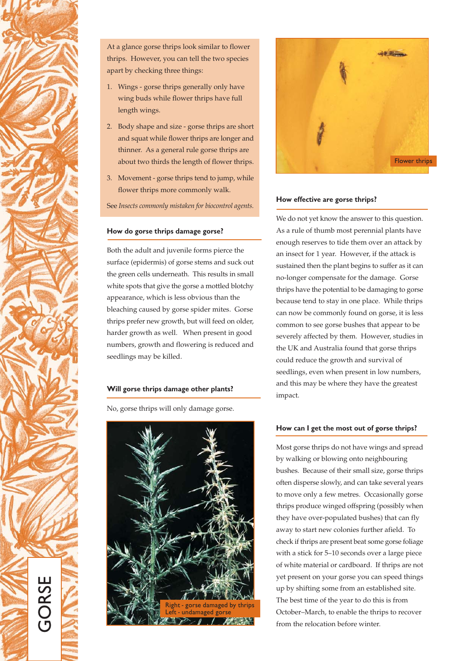

At a glance gorse thrips look similar to flower thrips. However, you can tell the two species apart by checking three things:

- 1. Wings gorse thrips generally only have wing buds while flower thrips have full length wings.
- 2. Body shape and size gorse thrips are short and squat while flower thrips are longer and thinner. As a general rule gorse thrips are about two thirds the length of flower thrips.
- 3. Movement gorse thrips tend to jump, while flower thrips more commonly walk.

See Insects commonly mistaken for biocontrol agents.

#### How do gorse thrips damage gorse?

Both the adult and juvenile forms pierce the surface (epidermis) of gorse stems and suck out the green cells underneath. This results in small white spots that give the gorse a mottled blotchy appearance, which is less obvious than the bleaching caused by gorse spider mites. Gorse thrips prefer new growth, but will feed on older, harder growth as well. When present in good numbers, growth and flowering is reduced and seedlings may be killed.

#### Will gorse thrips damage other plants?

No, gorse thrips will only damage gorse.





#### How effective are gorse thrips?

We do not yet know the answer to this question. As a rule of thumb most perennial plants have enough reserves to tide them over an attack by an insect for 1 year. However, if the attack is sustained then the plant begins to suffer as it can no-longer compensate for the damage. Gorse thrips have the potential to be damaging to gorse because tend to stay in one place. While thrips can now be commonly found on gorse, it is less common to see gorse bushes that appear to be severely affected by them. However, studies in the UK and Australia found that gorse thrips could reduce the growth and survival of seedlings, even when present in low numbers, and this may be where they have the greatest impact.

#### How can I get the most out of gorse thrips?

Most gorse thrips do not have wings and spread by walking or blowing onto neighbouring bushes. Because of their small size, gorse thrips often disperse slowly, and can take several years to move only a few metres. Occasionally gorse thrips produce winged offspring (possibly when they have over-populated bushes) that can fly away to start new colonies further afield. To check if thrips are present beat some gorse foliage with a stick for 5-10 seconds over a large piece of white material or cardboard. If thrips are not yet present on your gorse you can speed things up by shifting some from an established site. The best time of the year to do this is from October-March, to enable the thrips to recover from the relocation before winter.